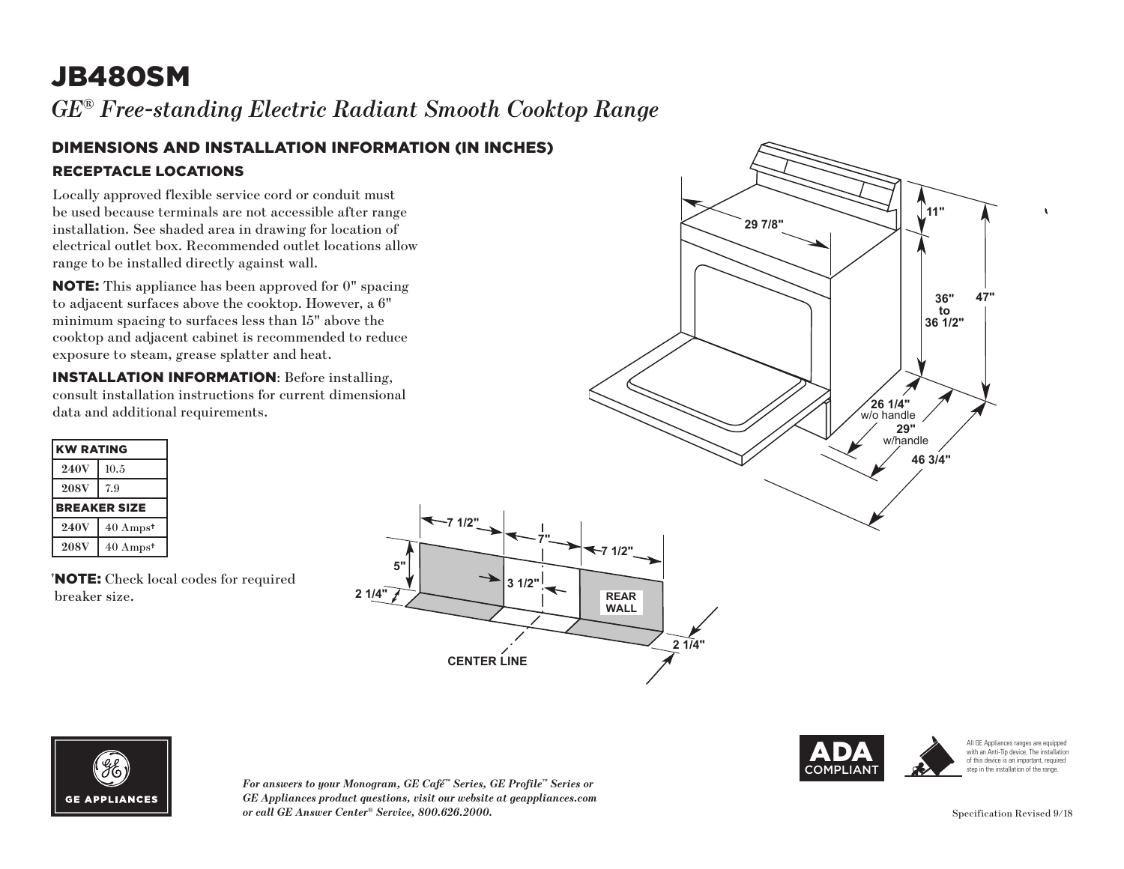# JB480SM

*GE® Free-standing Electric Radiant Smooth Cooktop Range* 

#### DIMENSIONS AND INSTALLATION INFORMATION (IN INCHES) RECEPTACLE LOCATIONS

Locally approved flexible service cord or conduit must be used because terminals are not accessible after range installation. See shaded area in drawing for location of electrical outlet box. Recommended outlet locations allow range to be installed directly against wall.

NOTE: This appliance has been approved for 0" spacing to adjacent surfaces above the cooktop. However, a 6" minimum spacing to surfaces less than 15" above the cooktop and adjacent cabinet is recommended to reduce exposure to steam, grease splatter and heat.

INSTALLATION INFORMATION: Before installing, consult installation instructions for current dimensional data and additional requirements.

| <b>KW RATING</b>    |                     |
|---------------------|---------------------|
| <b>240V</b>         | 10.5                |
| <b>208V</b>         | 7.9                 |
| <b>BREAKER SIZE</b> |                     |
| <b>240V</b>         | $40 \text{ Amps}^*$ |
| <b>208V</b>         | $40 \text{ Amps}^*$ |

† NOTE: Check local codes for required breaker size.





*For answers to your Monogram, GE Café™ Series, GE Profile™ Series or*  **36 1/2"** *GE Appliances product questions, visit our website at geappliances.com or call GE Answer Center® Service, 800.626.2000.*

**7 1/2"**

**5"**





**CENTER LINE**